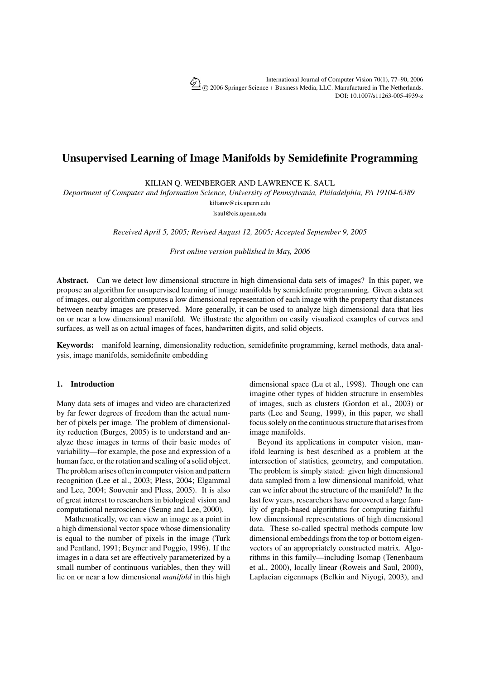# **Unsupervised Learning of Image Manifolds by Semidefinite Programming**

KILIAN Q. WEINBERGER AND LAWRENCE K. SAUL

*Department of Computer and Information Science, University of Pennsylvania, Philadelphia, PA 19104-6389*

kilianw@cis.upenn.edu

lsaul@cis.upenn.edu

*Received April 5, 2005; Revised August 12, 2005; Accepted September 9, 2005*

*First online version published in May, 2006*

**Abstract.** Can we detect low dimensional structure in high dimensional data sets of images? In this paper, we propose an algorithm for unsupervised learning of image manifolds by semidefinite programming. Given a data set of images, our algorithm computes a low dimensional representation of each image with the property that distances between nearby images are preserved. More generally, it can be used to analyze high dimensional data that lies on or near a low dimensional manifold. We illustrate the algorithm on easily visualized examples of curves and surfaces, as well as on actual images of faces, handwritten digits, and solid objects.

**Keywords:** manifold learning, dimensionality reduction, semidefinite programming, kernel methods, data analysis, image manifolds, semidefinite embedding

# **1. Introduction**

Many data sets of images and video are characterized by far fewer degrees of freedom than the actual number of pixels per image. The problem of dimensionality reduction (Burges, 2005) is to understand and analyze these images in terms of their basic modes of variability—for example, the pose and expression of a human face, or the rotation and scaling of a solid object. The problem arises often in computer vision and pattern recognition (Lee et al., 2003; Pless, 2004; Elgammal and Lee, 2004; Souvenir and Pless, 2005). It is also of great interest to researchers in biological vision and computational neuroscience (Seung and Lee, 2000).

Mathematically, we can view an image as a point in a high dimensional vector space whose dimensionality is equal to the number of pixels in the image (Turk and Pentland, 1991; Beymer and Poggio, 1996). If the images in a data set are effectively parameterized by a small number of continuous variables, then they will lie on or near a low dimensional *manifold* in this high

dimensional space (Lu et al., 1998). Though one can imagine other types of hidden structure in ensembles of images, such as clusters (Gordon et al., 2003) or parts (Lee and Seung, 1999), in this paper, we shall focus solely on the continuous structure that arises from image manifolds.

Beyond its applications in computer vision, manifold learning is best described as a problem at the intersection of statistics, geometry, and computation. The problem is simply stated: given high dimensional data sampled from a low dimensional manifold, what can we infer about the structure of the manifold? In the last few years, researchers have uncovered a large family of graph-based algorithms for computing faithful low dimensional representations of high dimensional data. These so-called spectral methods compute low dimensional embeddings from the top or bottom eigenvectors of an appropriately constructed matrix. Algorithms in this family—including Isomap (Tenenbaum et al., 2000), locally linear (Roweis and Saul, 2000), Laplacian eigenmaps (Belkin and Niyogi, 2003), and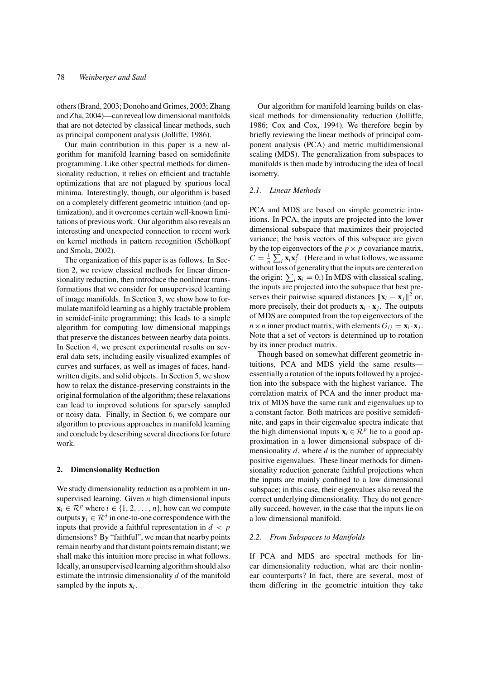others (Brand, 2003; Donoho and Grimes, 2003; Zhang and Zha, 2004)—can reveal low dimensional manifolds that are not detected by classical linear methods, such as principal component analysis (Jolliffe, 1986).

Our main contribution in this paper is a new algorithm for manifold learning based on semidefinite programming. Like other spectral methods for dimensionality reduction, it relies on efficient and tractable optimizations that are not plagued by spurious local minima. Interestingly, though, our algorithm is based on a completely different geometric intuition (and optimization), and it overcomes certain well-known limitations of previous work. Our algorithm also reveals an interesting and unexpected connection to recent work on kernel methods in pattern recognition (Schölkopf and Smola, 2002).

The organization of this paper is as follows. In Section 2, we review classical methods for linear dimensionality reduction, then introduce the nonlinear transformations that we consider for unsupervised learning of image manifolds. In Section 3, we show how to formulate manifold learning as a highly tractable problem in semidef-inite programming; this leads to a simple algorithm for computing low dimensional mappings that preserve the distances between nearby data points. In Section 4, we present experimental results on several data sets, including easily visualized examples of curves and surfaces, as well as images of faces, handwritten digits, and solid objects. In Section 5, we show how to relax the distance-preserving constraints in the original formulation of the algorithm; these relaxations can lead to improved solutions for sparsely sampled or noisy data. Finally, in Section 6, we compare our algorithm to previous approaches in manifold learning and conclude by describing several directions for future work.

## **2. Dimensionality Reduction**

We study dimensionality reduction as a problem in unsupervised learning. Given *n* high dimensional inputs  $\mathbf{x}_i \in \mathcal{R}^p$  where  $i \in \{1, 2, ..., n\}$ , how can we compute outputs  $y_i \in \mathcal{R}^d$  in one-to-one correspondence with the inputs that provide a faithful representation in  $d < p$ dimensions? By "faithful", we mean that nearby points remain nearby and that distant points remain distant; we shall make this intuition more precise in what follows. Ideally, an unsupervised learning algorithm should also estimate the intrinsic dimensionality *d* of the manifold sampled by the inputs **x***<sup>i</sup>* .

Our algorithm for manifold learning builds on classical methods for dimensionality reduction (Jolliffe, 1986; Cox and Cox, 1994). We therefore begin by briefly reviewing the linear methods of principal component analysis (PCA) and metric multidimensional scaling (MDS). The generalization from subspaces to manifolds is then made by introducing the idea of local isometry.

# *2.1. Linear Methods*

PCA and MDS are based on simple geometric intuitions. In PCA, the inputs are projected into the lower dimensional subspace that maximizes their projected variance; the basis vectors of this subspace are given by the top eigenvectors of the  $p \times p$  covariance matrix,  $C = \frac{1}{n} \sum_i \mathbf{x}_i \mathbf{x}_i^T$ . (Here and in what follows, we assume without loss of generality that the inputs are centered on the origin:  $\sum_i$  **x**<sub>*i*</sub> = 0.) In MDS with classical scaling, the inputs are projected into the subspace that best preserves their pairwise squared distances  $\|\mathbf{x}_i - \mathbf{x}_j\|^2$  or, more precisely, their dot products  $\mathbf{x}_i \cdot \mathbf{x}_j$ . The outputs of MDS are computed from the top eigenvectors of the  $n \times n$  inner product matrix, with elements  $G_{ij} = \mathbf{x}_i \cdot \mathbf{x}_j$ . Note that a set of vectors is determined up to rotation by its inner product matrix.

Though based on somewhat different geometric intuitions, PCA and MDS yield the same results essentially a rotation of the inputs followed by a projection into the subspace with the highest variance. The correlation matrix of PCA and the inner product matrix of MDS have the same rank and eigenvalues up to a constant factor. Both matrices are positive semidefinite, and gaps in their eigenvalue spectra indicate that the high dimensional inputs  $\mathbf{x}_i \in \mathcal{R}^p$  lie to a good approximation in a lower dimensional subspace of dimensionality *d*, where *d* is the number of appreciably positive eigenvalues. These linear methods for dimensionality reduction generate faithful projections when the inputs are mainly confined to a low dimensional subspace; in this case, their eigenvalues also reveal the correct underlying dimensionality. They do not generally succeed, however, in the case that the inputs lie on a low dimensional manifold.

## *2.2. From Subspaces to Manifolds*

If PCA and MDS are spectral methods for linear dimensionality reduction, what are their nonlinear counterparts? In fact, there are several, most of them differing in the geometric intuition they take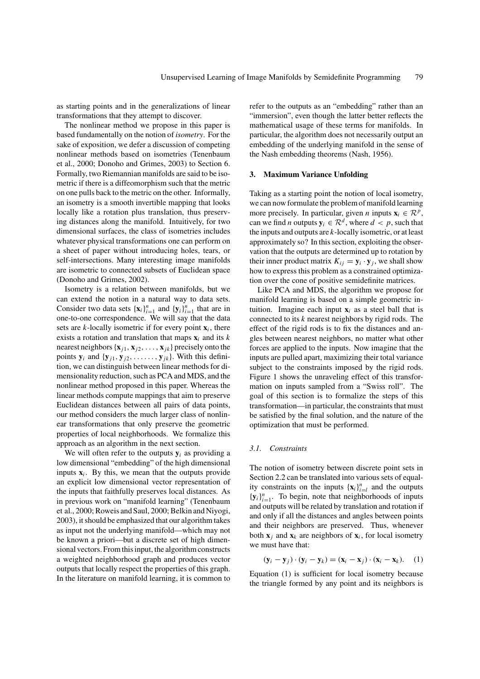as starting points and in the generalizations of linear transformations that they attempt to discover.

The nonlinear method we propose in this paper is based fundamentally on the notion of *isometry*. For the sake of exposition, we defer a discussion of competing nonlinear methods based on isometries (Tenenbaum et al., 2000; Donoho and Grimes, 2003) to Section 6. Formally, two Riemannian manifolds are said to be isometric if there is a diffeomorphism such that the metric on one pulls back to the metric on the other. Informally, an isometry is a smooth invertible mapping that looks locally like a rotation plus translation, thus preserving distances along the manifold. Intuitively, for two dimensional surfaces, the class of isometries includes whatever physical transformations one can perform on a sheet of paper without introducing holes, tears, or self-intersections. Many interesting image manifolds are isometric to connected subsets of Euclidean space (Donoho and Grimes, 2002).

Isometry is a relation between manifolds, but we can extend the notion in a natural way to data sets. Consider two data sets  $\{x_i\}_{i=1}^n$  and  $\{y_i\}_{i=1}^n$  that are in one-to-one correspondence. We will say that the data sets are  $k$ -locally isometric if for every point  $\mathbf{x}_i$ , there exists a rotation and translation that maps **x***<sup>i</sup>* and its *k* nearest neighbors  $\{x_{i1}, x_{i2}, \ldots, x_{ik}\}$  precisely onto the points  $\mathbf{y}_i$  and  $\{\mathbf{y}_{j1}, \mathbf{y}_{j2}, \ldots, \mathbf{y}_{jk}\}$ . With this definition, we can distinguish between linear methods for dimensionality reduction, such as PCA and MDS, and the nonlinear method proposed in this paper. Whereas the linear methods compute mappings that aim to preserve Euclidean distances between all pairs of data points, our method considers the much larger class of nonlinear transformations that only preserve the geometric properties of local neighborhoods. We formalize this approach as an algorithm in the next section.

We will often refer to the outputs  $y_i$  as providing a low dimensional "embedding" of the high dimensional inputs  $\mathbf{x}_i$ . By this, we mean that the outputs provide an explicit low dimensional vector representation of the inputs that faithfully preserves local distances. As in previous work on "manifold learning" (Tenenbaum et al., 2000; Roweis and Saul, 2000; Belkin and Niyogi, 2003), it should be emphasized that our algorithm takes as input not the underlying manifold—which may not be known a priori—but a discrete set of high dimensional vectors. From this input, the algorithm constructs a weighted neighborhood graph and produces vector outputs that locally respect the properties of this graph. In the literature on manifold learning, it is common to

refer to the outputs as an "embedding" rather than an "immersion", even though the latter better reflects the mathematical usage of these terms for manifolds. In particular, the algorithm does not necessarily output an embedding of the underlying manifold in the sense of the Nash embedding theorems (Nash, 1956).

## **3. Maximum Variance Unfolding**

Taking as a starting point the notion of local isometry, we can now formulate the problem of manifold learning more precisely. In particular, given *n* inputs  $\mathbf{x}_i \in \mathcal{R}^p$ , can we find *n* outputs  $y_i \in \mathbb{R}^d$ , where  $d < p$ , such that the inputs and outputs are *k*-locally isometric, or at least approximately so? In this section, exploiting the observation that the outputs are determined up to rotation by their inner product matrix  $K_{ij} = y_i \cdot y_j$ , we shall show how to express this problem as a constrained optimization over the cone of positive semidefinite matrices.

Like PCA and MDS, the algorithm we propose for manifold learning is based on a simple geometric intuition. Imagine each input  $\mathbf{x}_i$  as a steel ball that is connected to its *k* nearest neighbors by rigid rods. The effect of the rigid rods is to fix the distances and angles between nearest neighbors, no matter what other forces are applied to the inputs. Now imagine that the inputs are pulled apart, maximizing their total variance subject to the constraints imposed by the rigid rods. Figure 1 shows the unraveling effect of this transformation on inputs sampled from a "Swiss roll". The goal of this section is to formalize the steps of this transformation—in particular, the constraints that must be satisfied by the final solution, and the nature of the optimization that must be performed.

## *3.1. Constraints*

The notion of isometry between discrete point sets in Section 2.2 can be translated into various sets of equality constraints on the inputs  $\{x_i\}_{i=1}^n$  and the outputs  ${y_i}_{i=1}^n$ . To begin, note that neighborhoods of inputs and outputs will be related by translation and rotation if and only if all the distances and angles between points and their neighbors are preserved. Thus, whenever both  $\mathbf{x}_i$  and  $\mathbf{x}_k$  are neighbors of  $\mathbf{x}_i$ , for local isometry we must have that:

$$
(\mathbf{y}_i - \mathbf{y}_j) \cdot (\mathbf{y}_i - \mathbf{y}_k) = (\mathbf{x}_i - \mathbf{x}_j) \cdot (\mathbf{x}_i - \mathbf{x}_k). \quad (1)
$$

Equation (1) is sufficient for local isometry because the triangle formed by any point and its neighbors is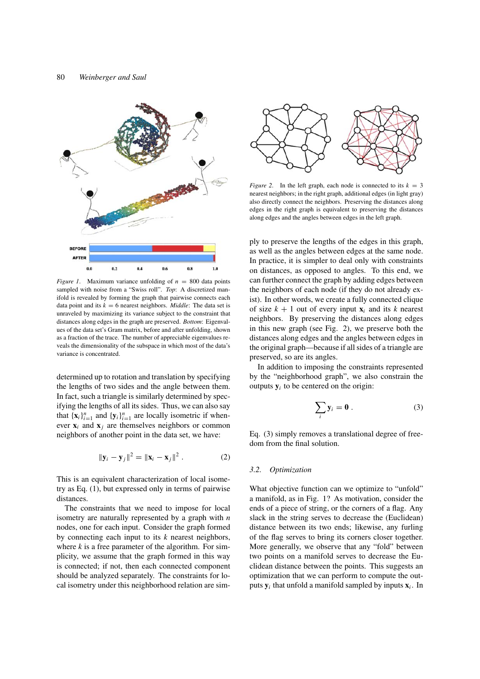

*Figure 1.* Maximum variance unfolding of  $n = 800$  data points sampled with noise from a "Swiss roll". *Top*: A discretized manifold is revealed by forming the graph that pairwise connects each data point and its  $k = 6$  nearest neighbors. *Middle*: The data set is unraveled by maximizing its variance subject to the constraint that distances along edges in the graph are preserved. *Bottom*: Eigenvalues of the data set's Gram matrix, before and after unfolding, shown as a fraction of the trace. The number of appreciable eigenvalues reveals the dimensionality of the subspace in which most of the data's variance is concentrated.

determined up to rotation and translation by specifying the lengths of two sides and the angle between them. In fact, such a triangle is similarly determined by specifying the lengths of all its sides. Thus, we can also say that  ${\mathbf x}_i \}_{i=1}^n$  and  ${\mathbf y}_i \}_{i=1}^n$  are locally isometric if whenever  $\mathbf{x}_i$  and  $\mathbf{x}_j$  are themselves neighbors or common neighbors of another point in the data set, we have:

$$
\|\mathbf{y}_i - \mathbf{y}_j\|^2 = \|\mathbf{x}_i - \mathbf{x}_j\|^2.
$$
 (2)

This is an equivalent characterization of local isometry as Eq. (1), but expressed only in terms of pairwise distances.

The constraints that we need to impose for local isometry are naturally represented by a graph with *n* nodes, one for each input. Consider the graph formed by connecting each input to its *k* nearest neighbors, where  $k$  is a free parameter of the algorithm. For simplicity, we assume that the graph formed in this way is connected; if not, then each connected component should be analyzed separately. The constraints for local isometry under this neighborhood relation are sim-



*Figure 2.* In the left graph, each node is connected to its  $k = 3$ nearest neighbors; in the right graph, additional edges (in light gray) also directly connect the neighbors. Preserving the distances along edges in the right graph is equivalent to preserving the distances along edges and the angles between edges in the left graph.

ply to preserve the lengths of the edges in this graph, as well as the angles between edges at the same node. In practice, it is simpler to deal only with constraints on distances, as opposed to angles. To this end, we can further connect the graph by adding edges between the neighbors of each node (if they do not already exist). In other words, we create a fully connected clique of size  $k + 1$  out of every input  $\mathbf{x}_i$  and its *k* nearest neighbors. By preserving the distances along edges in this new graph (see Fig. 2), we preserve both the distances along edges and the angles between edges in the original graph—because if all sides of a triangle are preserved, so are its angles.

In addition to imposing the constraints represented by the "neighborhood graph", we also constrain the outputs  $y_i$  to be centered on the origin:

$$
\sum_i \mathbf{y}_i = \mathbf{0} \,. \tag{3}
$$

Eq. (3) simply removes a translational degree of freedom from the final solution.

#### *3.2. Optimization*

What objective function can we optimize to "unfold" a manifold, as in Fig. 1? As motivation, consider the ends of a piece of string, or the corners of a flag. Any slack in the string serves to decrease the (Euclidean) distance between its two ends; likewise, any furling of the flag serves to bring its corners closer together. More generally, we observe that any "fold" between two points on a manifold serves to decrease the Euclidean distance between the points. This suggests an optimization that we can perform to compute the outputs  $y_i$  that unfold a manifold sampled by inputs  $x_i$ . In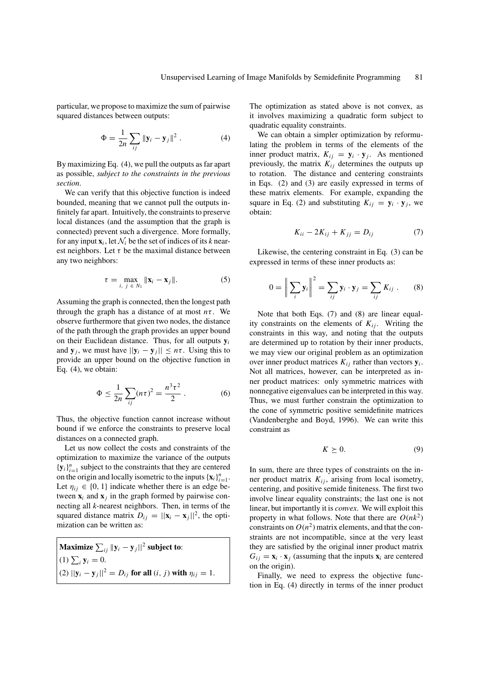particular, we propose to maximize the sum of pairwise squared distances between outputs:

$$
\Phi = \frac{1}{2n} \sum_{ij} \|\mathbf{y}_i - \mathbf{y}_j\|^2.
$$
 (4)

By maximizing Eq. (4), we pull the outputs as far apart as possible, *subject to the constraints in the previous section*.

We can verify that this objective function is indeed bounded, meaning that we cannot pull the outputs infinitely far apart. Intuitively, the constraints to preserve local distances (and the assumption that the graph is connected) prevent such a divergence. More formally, for any input  $\mathbf{x}_i$ , let  $\mathcal{N}_i$  be the set of indices of its *k* nearest neighbors. Let  $\tau$  be the maximal distance between any two neighbors:

$$
\tau = \max_{i, j \in N_1} \|\mathbf{x}_i - \mathbf{x}_j\|.\tag{5}
$$

Assuming the graph is connected, then the longest path through the graph has a distance of at most  $n\tau$ . We observe furthermore that given two nodes, the distance of the path through the graph provides an upper bound on their Euclidean distance. Thus, for all outputs **y***<sup>i</sup>* and **y**<sub>*i*</sub>, we must have  $||\mathbf{y}_i - \mathbf{y}_i|| < n\tau$ . Using this to provide an upper bound on the objective function in Eq. (4), we obtain:

$$
\Phi \le \frac{1}{2n} \sum_{ij} (n\tau)^2 = \frac{n^3 \tau^2}{2} \,. \tag{6}
$$

Thus, the objective function cannot increase without bound if we enforce the constraints to preserve local distances on a connected graph.

Let us now collect the costs and constraints of the optimization to maximize the variance of the outputs  ${y_i}_{i=1}^n$  subject to the constraints that they are centered on the origin and locally isometric to the inputs  $\{x_i\}_{i=1}^n$ . Let  $\eta_{ij} \in \{0, 1\}$  indicate whether there is an edge between  $\mathbf{x}_i$  and  $\mathbf{x}_j$  in the graph formed by pairwise connecting all *k*-nearest neighbors. Then, in terms of the squared distance matrix  $D_{ij} = ||\mathbf{x}_i - \mathbf{x}_j||^2$ , the optimization can be written as:

 $\mathbf{Maximize} \sum_{ij} \|\mathbf{y}_i - \mathbf{y}_j\|^2 \text{ subject to: }$  $(1) \sum_{i}$  **y**<sub>*i*</sub> = 0. (2)  $||\mathbf{y}_i - \mathbf{y}_j||^2 = D_{ij}$  for all  $(i, j)$  with  $\eta_{ij} = 1$ . The optimization as stated above is not convex, as it involves maximizing a quadratic form subject to quadratic equality constraints.

We can obtain a simpler optimization by reformulating the problem in terms of the elements of the inner product matrix,  $K_{ij} = y_i \cdot y_j$ . As mentioned previously, the matrix  $K_{ij}$  determines the outputs up to rotation. The distance and centering constraints in Eqs. (2) and (3) are easily expressed in terms of these matrix elements. For example, expanding the square in Eq. (2) and substituting  $K_{ij} = y_i \cdot y_j$ , we obtain:

$$
K_{ii} - 2K_{ij} + K_{jj} = D_{ij} \tag{7}
$$

Likewise, the centering constraint in Eq. (3) can be expressed in terms of these inner products as:

$$
0 = \left\| \sum_{i} \mathbf{y}_{i} \right\|^{2} = \sum_{ij} \mathbf{y}_{i} \cdot \mathbf{y}_{j} = \sum_{ij} K_{ij} . \qquad (8)
$$

Note that both Eqs. (7) and (8) are linear equality constraints on the elements of  $K_{ij}$ . Writing the constraints in this way, and noting that the outputs are determined up to rotation by their inner products, we may view our original problem as an optimization over inner product matrices  $K_{ij}$  rather than vectors  $y_i$ . Not all matrices, however, can be interpreted as inner product matrices: only symmetric matrices with nonnegative eigenvalues can be interpreted in this way. Thus, we must further constrain the optimization to the cone of symmetric positive semidefinite matrices (Vandenberghe and Boyd, 1996). We can write this constraint as

$$
K \succeq 0. \tag{9}
$$

In sum, there are three types of constraints on the inner product matrix  $K_{ij}$ , arising from local isometry, centering, and positive semide finiteness. The first two involve linear equality constraints; the last one is not linear, but importantly it is *convex*. We will exploit this property in what follows. Note that there are  $O(nk^2)$ constraints on  $O(n^2)$  matrix elements, and that the constraints are not incompatible, since at the very least they are satisfied by the original inner product matrix  $G_{ij} = \mathbf{x}_i \cdot \mathbf{x}_j$  (assuming that the inputs  $\mathbf{x}_i$  are centered on the origin).

Finally, we need to express the objective function in Eq. (4) directly in terms of the inner product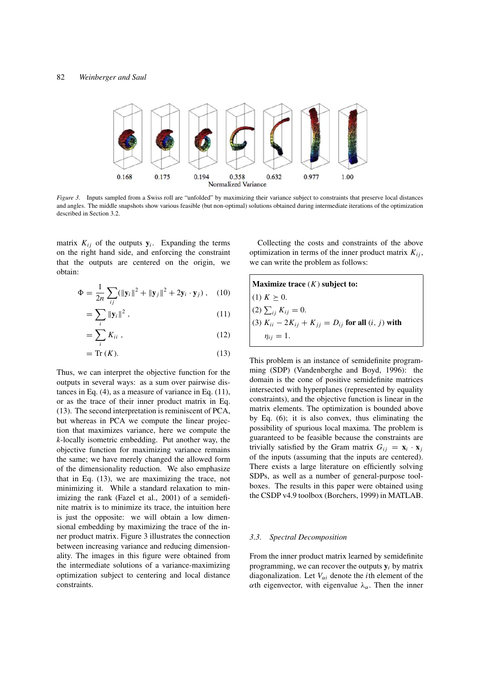

*Figure 3*. Inputs sampled from a Swiss roll are "unfolded" by maximizing their variance subject to constraints that preserve local distances and angles. The middle snapshots show various feasible (but non-optimal) solutions obtained during intermediate iterations of the optimization described in Section 3.2.

matrix  $K_{ij}$  of the outputs  $y_i$ . Expanding the terms on the right hand side, and enforcing the constraint that the outputs are centered on the origin, we obtain:

$$
\Phi = \frac{1}{2n} \sum_{ij} (\|\mathbf{y}_i\|^2 + \|\mathbf{y}_j\|^2 + 2\mathbf{y}_i \cdot \mathbf{y}_j), \quad (10)
$$

$$
=\sum_{i}\|\mathbf{y}_{i}\|^{2},\tag{11}
$$

$$
=\sum_{i}K_{ii}\,,\tag{12}
$$

$$
= \operatorname{Tr}\left(K\right). \tag{13}
$$

Thus, we can interpret the objective function for the outputs in several ways: as a sum over pairwise distances in Eq. (4), as a measure of variance in Eq. (11), or as the trace of their inner product matrix in Eq. (13). The second interpretation is reminiscent of PCA, but whereas in PCA we compute the linear projection that maximizes variance, here we compute the *k*-locally isometric embedding. Put another way, the objective function for maximizing variance remains the same; we have merely changed the allowed form of the dimensionality reduction. We also emphasize that in Eq. (13), we are maximizing the trace, not minimizing it. While a standard relaxation to minimizing the rank (Fazel et al., 2001) of a semidefinite matrix is to minimize its trace, the intuition here is just the opposite: we will obtain a low dimensional embedding by maximizing the trace of the inner product matrix. Figure 3 illustrates the connection between increasing variance and reducing dimensionality. The images in this figure were obtained from the intermediate solutions of a variance-maximizing optimization subject to centering and local distance constraints.

Collecting the costs and constraints of the above optimization in terms of the inner product matrix  $K_{ij}$ , we can write the problem as follows:

| <b>Maximize trace</b> $(K)$ subject to:                        |
|----------------------------------------------------------------|
| $(1) K \geq 0.$                                                |
| (2) $\sum_{ij} K_{ij} = 0.$                                    |
| (3) $K_{ii} - 2K_{ij} + K_{jj} = D_{ij}$ for all $(i, j)$ with |
| $\eta_{ij}=1.$                                                 |

This problem is an instance of semidefinite programming (SDP) (Vandenberghe and Boyd, 1996): the domain is the cone of positive semidefinite matrices intersected with hyperplanes (represented by equality constraints), and the objective function is linear in the matrix elements. The optimization is bounded above by Eq. (6); it is also convex, thus eliminating the possibility of spurious local maxima. The problem is guaranteed to be feasible because the constraints are trivially satisfied by the Gram matrix  $G_{ii} = \mathbf{x}_i \cdot \mathbf{x}_j$ of the inputs (assuming that the inputs are centered). There exists a large literature on efficiently solving SDPs, as well as a number of general-purpose toolboxes. The results in this paper were obtained using the CSDP v4.9 toolbox (Borchers, 1999) in MATLAB.

## *3.3. Spectral Decomposition*

From the inner product matrix learned by semidefinite programming, we can recover the outputs  $y_i$  by matrix diagonalization. Let  $V_{\alpha i}$  denote the *i*th element of the  $\alpha$ th eigenvector, with eigenvalue  $\lambda_{\alpha}$ . Then the inner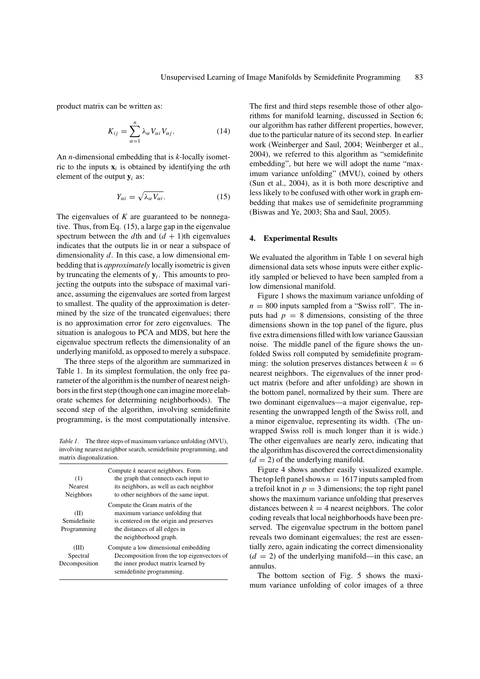product matrix can be written as:

$$
K_{ij} = \sum_{\alpha=1}^{n} \lambda_{\alpha} V_{\alpha i} V_{\alpha j}.
$$
 (14)

An *n*-dimensional embedding that is *k*-locally isometric to the inputs  $\mathbf{x}_i$  is obtained by identifying the  $\alpha$ th element of the output  $\mathbf{v}_i$  as:

$$
Y_{\alpha i} = \sqrt{\lambda_{\alpha} V_{\alpha i}}.
$$
 (15)

The eigenvalues of *K* are guaranteed to be nonnegative. Thus, from Eq. (15), a large gap in the eigenvalue spectrum between the  $d$ th and  $(d + 1)$ th eigenvalues indicates that the outputs lie in or near a subspace of dimensionality *d*. In this case, a low dimensional embedding that is *approximately* locally isometric is given by truncating the elements of  $y_i$ . This amounts to projecting the outputs into the subspace of maximal variance, assuming the eigenvalues are sorted from largest to smallest. The quality of the approximation is determined by the size of the truncated eigenvalues; there is no approximation error for zero eigenvalues. The situation is analogous to PCA and MDS, but here the eigenvalue spectrum reflects the dimensionality of an underlying manifold, as opposed to merely a subspace.

The three steps of the algorithm are summarized in Table 1. In its simplest formulation, the only free parameter of the algorithm is the number of nearest neighbors in the first step (though one can imagine more elaborate schemes for determining neighborhoods). The second step of the algorithm, involving semidefinite programming, is the most computationally intensive.

*Table 1*. The three steps of maximum variance unfolding (MVU), involving nearest neighbor search, semidefinite programming, and matrix diagonalization.

| (1)<br><b>Nearest</b><br>Neighbors  | Compute $k$ nearest neighbors. Form<br>the graph that connects each input to<br>its neighbors, as well as each neighbor<br>to other neighbors of the same input.         |
|-------------------------------------|--------------------------------------------------------------------------------------------------------------------------------------------------------------------------|
| (II)<br>Semidefinite<br>Programming | Compute the Gram matrix of the<br>maximum variance unfolding that<br>is centered on the origin and preserves<br>the distances of all edges in<br>the neighborhood graph. |
| (III)<br>Spectral<br>Decomposition  | Compute a low dimensional embedding<br>Decomposition from the top eigenvectors of<br>the inner product matrix learned by<br>semidefinite programming.                    |

The first and third steps resemble those of other algorithms for manifold learning, discussed in Section 6; our algorithm has rather different properties, however, due to the particular nature of its second step. In earlier work (Weinberger and Saul, 2004; Weinberger et al., 2004), we referred to this algorithm as "semidefinite embedding", but here we will adopt the name "maximum variance unfolding" (MVU), coined by others (Sun et al., 2004), as it is both more descriptive and less likely to be confused with other work in graph embedding that makes use of semidefinite programming (Biswas and Ye, 2003; Sha and Saul, 2005).

# **4. Experimental Results**

We evaluated the algorithm in Table 1 on several high dimensional data sets whose inputs were either explicitly sampled or believed to have been sampled from a low dimensional manifold.

Figure 1 shows the maximum variance unfolding of  $n = 800$  inputs sampled from a "Swiss roll". The inputs had  $p = 8$  dimensions, consisting of the three dimensions shown in the top panel of the figure, plus five extra dimensions filled with low variance Gaussian noise. The middle panel of the figure shows the unfolded Swiss roll computed by semidefinite programming: the solution preserves distances between  $k = 6$ nearest neighbors. The eigenvalues of the inner product matrix (before and after unfolding) are shown in the bottom panel, normalized by their sum. There are two dominant eigenvalues—a major eigenvalue, representing the unwrapped length of the Swiss roll, and a minor eigenvalue, representing its width. (The unwrapped Swiss roll is much longer than it is wide.) The other eigenvalues are nearly zero, indicating that the algorithm has discovered the correct dimensionality  $(d = 2)$  of the underlying manifold.

Figure 4 shows another easily visualized example. The top left panel shows  $n = 1617$  inputs sampled from a trefoil knot in  $p = 3$  dimensions; the top right panel shows the maximum variance unfolding that preserves distances between  $k = 4$  nearest neighbors. The color coding reveals that local neighborhoods have been preserved. The eigenvalue spectrum in the bottom panel reveals two dominant eigenvalues; the rest are essentially zero, again indicating the correct dimensionality  $(d = 2)$  of the underlying manifold—in this case, an annulus.

The bottom section of Fig. 5 shows the maximum variance unfolding of color images of a three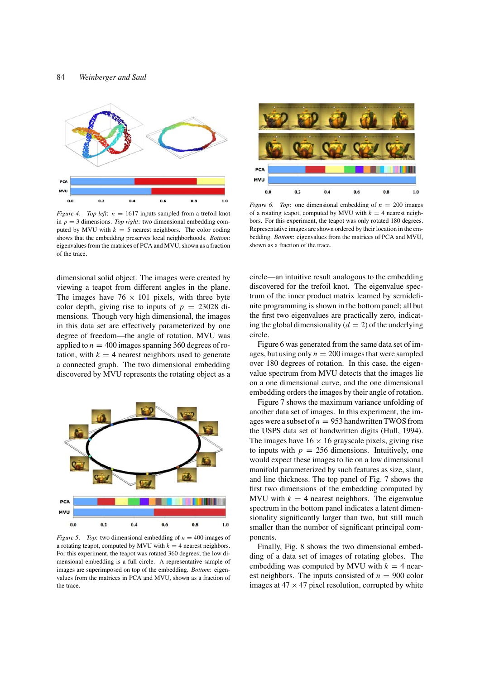

*Figure 4*. *Top left*: *n* = 1617 inputs sampled from a trefoil knot in  $p = 3$  dimensions. *Top right*: two dimensional embedding computed by MVU with  $k = 5$  nearest neighbors. The color coding shows that the embedding preserves local neighborhoods. *Bottom*: eigenvalues from the matrices of PCA and MVU, shown as a fraction of the trace.

dimensional solid object. The images were created by viewing a teapot from different angles in the plane. The images have  $76 \times 101$  pixels, with three byte color depth, giving rise to inputs of  $p = 23028$  dimensions. Though very high dimensional, the images in this data set are effectively parameterized by one degree of freedom—the angle of rotation. MVU was applied to  $n = 400$  images spanning 360 degrees of rotation, with  $k = 4$  nearest neighbors used to generate a connected graph. The two dimensional embedding discovered by MVU represents the rotating object as a



*Figure 5. Top*: two dimensional embedding of  $n = 400$  images of a rotating teapot, computed by MVU with  $k = 4$  nearest neighbors. For this experiment, the teapot was rotated 360 degrees; the low dimensional embedding is a full circle. A representative sample of images are superimposed on top of the embedding. *Bottom*: eigenvalues from the matrices in PCA and MVU, shown as a fraction of the trace.



*Figure 6. Top:* one dimensional embedding of  $n = 200$  images of a rotating teapot, computed by MVU with  $k = 4$  nearest neighbors. For this experiment, the teapot was only rotated 180 degrees. Representative images are shown ordered by their location in the embedding. *Bottom*: eigenvalues from the matrices of PCA and MVU, shown as a fraction of the trace.

circle—an intuitive result analogous to the embedding discovered for the trefoil knot. The eigenvalue spectrum of the inner product matrix learned by semidefinite programming is shown in the bottom panel; all but the first two eigenvalues are practically zero, indicating the global dimensionality  $(d = 2)$  of the underlying circle.

Figure 6 was generated from the same data set of images, but using only  $n = 200$  images that were sampled over 180 degrees of rotation. In this case, the eigenvalue spectrum from MVU detects that the images lie on a one dimensional curve, and the one dimensional embedding orders the images by their angle of rotation.

Figure 7 shows the maximum variance unfolding of another data set of images. In this experiment, the images were a subset of  $n = 953$  handwritten TWOS from the USPS data set of handwritten digits (Hull, 1994). The images have  $16 \times 16$  grayscale pixels, giving rise to inputs with  $p = 256$  dimensions. Intuitively, one would expect these images to lie on a low dimensional manifold parameterized by such features as size, slant, and line thickness. The top panel of Fig. 7 shows the first two dimensions of the embedding computed by MVU with  $k = 4$  nearest neighbors. The eigenvalue spectrum in the bottom panel indicates a latent dimensionality significantly larger than two, but still much smaller than the number of significant principal components.

Finally, Fig. 8 shows the two dimensional embedding of a data set of images of rotating globes. The embedding was computed by MVU with  $k = 4$  nearest neighbors. The inputs consisted of  $n = 900$  color images at  $47 \times 47$  pixel resolution, corrupted by white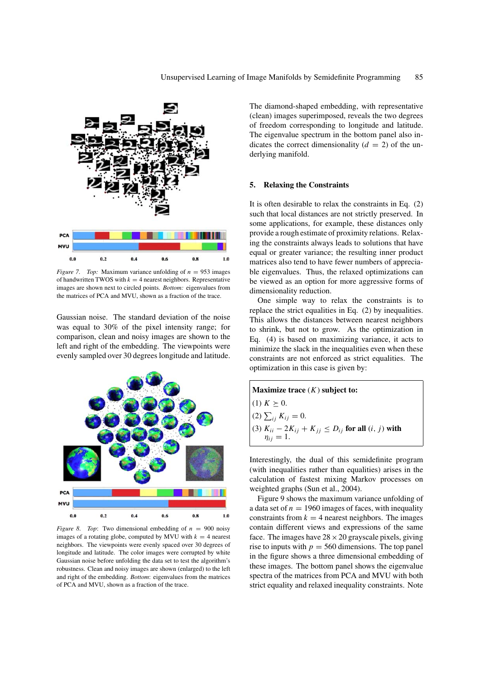

*Figure 7. Top:* Maximum variance unfolding of  $n = 953$  images of handwritten TWOS with  $k = 4$  nearest neighbors. Representative images are shown next to circled points. *Bottom:* eigenvalues from the matrices of PCA and MVU, shown as a fraction of the trace.

Gaussian noise. The standard deviation of the noise was equal to 30% of the pixel intensity range; for comparison, clean and noisy images are shown to the left and right of the embedding. The viewpoints were evenly sampled over 30 degrees longitude and latitude.



*Figure 8. Top*: Two dimensional embedding of  $n = 900$  noisy images of a rotating globe, computed by MVU with  $k = 4$  nearest neighbors. The viewpoints were evenly spaced over 30 degrees of longitude and latitude. The color images were corrupted by white Gaussian noise before unfolding the data set to test the algorithm's robustness. Clean and noisy images are shown (enlarged) to the left and right of the embedding. *Bottom*: eigenvalues from the matrices of PCA and MVU, shown as a fraction of the trace.

The diamond-shaped embedding, with representative (clean) images superimposed, reveals the two degrees of freedom corresponding to longitude and latitude. The eigenvalue spectrum in the bottom panel also indicates the correct dimensionality  $(d = 2)$  of the underlying manifold.

#### **5. Relaxing the Constraints**

It is often desirable to relax the constraints in Eq. (2) such that local distances are not strictly preserved. In some applications, for example, these distances only provide a rough estimate of proximity relations. Relaxing the constraints always leads to solutions that have equal or greater variance; the resulting inner product matrices also tend to have fewer numbers of appreciable eigenvalues. Thus, the relaxed optimizations can be viewed as an option for more aggressive forms of dimensionality reduction.

One simple way to relax the constraints is to replace the strict equalities in Eq. (2) by inequalities. This allows the distances between nearest neighbors to shrink, but not to grow. As the optimization in Eq. (4) is based on maximizing variance, it acts to minimize the slack in the inequalities even when these constraints are not enforced as strict equalities. The optimization in this case is given by:

**Maximize trace** (*K*) **subject to:** (1)  $K \geq 0$ .  $(2)$   $\sum_{ij} K_{ij} = 0.$  $(3)$   $K_{ii} - 2K_{ij} + K_{jj} \leq D_{ij}$  for all  $(i, j)$  with  $\eta_{ij} = 1.$ 

Interestingly, the dual of this semidefinite program (with inequalities rather than equalities) arises in the calculation of fastest mixing Markov processes on weighted graphs (Sun et al., 2004).

Figure 9 shows the maximum variance unfolding of a data set of  $n = 1960$  images of faces, with inequality constraints from  $k = 4$  nearest neighbors. The images contain different views and expressions of the same face. The images have  $28 \times 20$  grayscale pixels, giving rise to inputs with  $p = 560$  dimensions. The top panel in the figure shows a three dimensional embedding of these images. The bottom panel shows the eigenvalue spectra of the matrices from PCA and MVU with both strict equality and relaxed inequality constraints. Note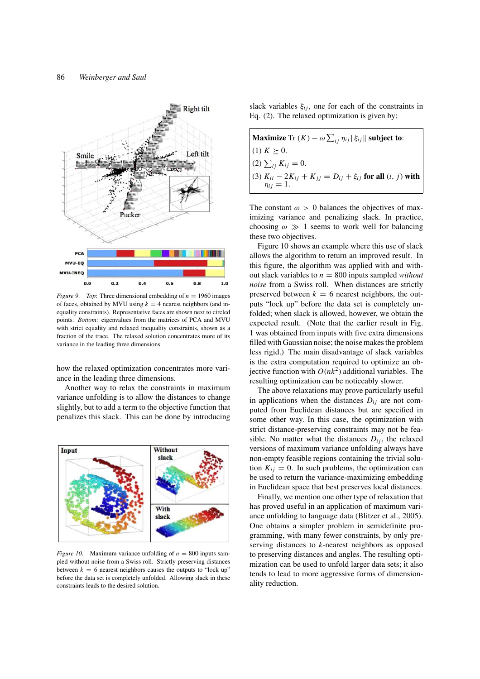

*Figure 9. Top*: Three dimensional embedding of  $n = 1960$  images of faces, obtained by MVU using  $k = 4$  nearest neighbors (and inequality constraints). Representative faces are shown next to circled points. *Bottom*: eigenvalues from the matrices of PCA and MVU with strict equality and relaxed inequality constraints, shown as a fraction of the trace. The relaxed solution concentrates more of its variance in the leading three dimensions.

how the relaxed optimization concentrates more variance in the leading three dimensions.

Another way to relax the constraints in maximum variance unfolding is to allow the distances to change slightly, but to add a term to the objective function that penalizes this slack. This can be done by introducing



*Figure 10.* Maximum variance unfolding of  $n = 800$  inputs sampled without noise from a Swiss roll. Strictly preserving distances between  $k = 6$  nearest neighbors causes the outputs to "lock up" before the data set is completely unfolded. Allowing slack in these constraints leads to the desired solution.

slack variables  $\xi_{ij}$ , one for each of the constraints in Eq. (2). The relaxed optimization is given by:

**Maximize** Tr 
$$
(K) - \omega \sum_{ij} \eta_{ij} ||\xi_{ij}||
$$
 subject to:  
\n(1)  $K \ge 0$ .  
\n(2)  $\sum_{ij} K_{ij} = 0$ .  
\n(3)  $K_{ii} - 2K_{ij} + K_{jj} = D_{ij} + \xi_{ij}$  for all  $(i, j)$  with  $\eta_{ij} = 1$ .

The constant  $\omega > 0$  balances the objectives of maximizing variance and penalizing slack. In practice, choosing  $\omega \gg 1$  seems to work well for balancing these two objectives.

Figure 10 shows an example where this use of slack allows the algorithm to return an improved result. In this figure, the algorithm was applied with and without slack variables to  $n = 800$  inputs sampled *without noise* from a Swiss roll. When distances are strictly preserved between  $k = 6$  nearest neighbors, the outputs "lock up" before the data set is completely unfolded; when slack is allowed, however, we obtain the expected result. (Note that the earlier result in Fig. 1 was obtained from inputs with five extra dimensions filled with Gaussian noise; the noise makes the problem less rigid.) The main disadvantage of slack variables is the extra computation required to optimize an objective function with  $O(nk^2)$  additional variables. The resulting optimization can be noticeably slower.

The above relaxations may prove particularly useful in applications when the distances  $D_{ij}$  are not computed from Euclidean distances but are specified in some other way. In this case, the optimization with strict distance-preserving constraints may not be feasible. No matter what the distances  $D_{ij}$ , the relaxed versions of maximum variance unfolding always have non-empty feasible regions containing the trivial solution  $K_{ii} = 0$ . In such problems, the optimization can be used to return the variance-maximizing embedding in Euclidean space that best preserves local distances.

Finally, we mention one other type of relaxation that has proved useful in an application of maximum variance unfolding to language data (Blitzer et al., 2005). One obtains a simpler problem in semidefinite programming, with many fewer constraints, by only preserving distances to *k*-nearest neighbors as opposed to preserving distances and angles. The resulting optimization can be used to unfold larger data sets; it also tends to lead to more aggressive forms of dimensionality reduction.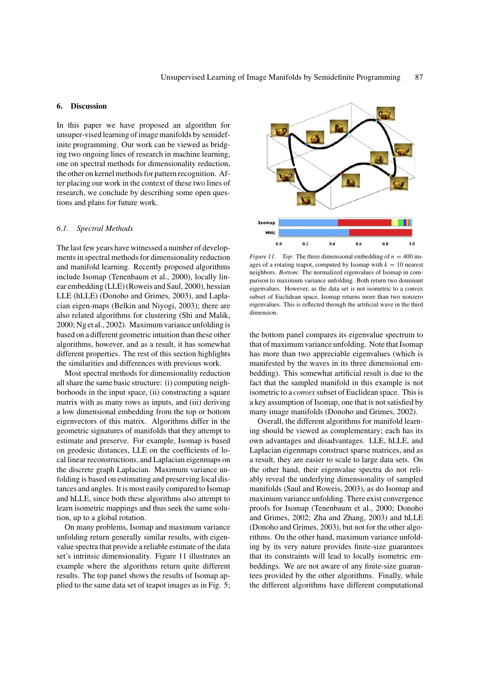## **6. Discussion**

In this paper we have proposed an algorithm for unsuper-vised learning of image manifolds by semidefinite programming. Our work can be viewed as bridging two ongoing lines of research in machine learning, one on spectral methods for dimensionality reduction, the other on kernel methods for pattern recognition. After placing our work in the context of these two lines of research, we conclude by describing some open questions and plans for future work.

## *6.1. Spectral Methods*

The last few years have witnessed a number of developments in spectral methods for dimensionality reduction and manifold learning. Recently proposed algorithms include Isomap (Tenenbaum et al., 2000), locally linear embedding (LLE) (Roweis and Saul, 2000), hessian LLE (hLLE) (Donoho and Grimes, 2003), and Laplacian eigen-maps (Belkin and Niyogi, 2003); there are also related algorithms for clustering (Shi and Malik, 2000; Ng et al., 2002). Maximum variance unfolding is based on a different geometric intuition than these other algorithms, however, and as a result, it has somewhat different properties. The rest of this section highlights the similarities and differences with previous work.

Most spectral methods for dimensionality reduction all share the same basic structure: (i) computing neighborhoods in the input space, (ii) constructing a square matrix with as many rows as inputs, and (iii) deriving a low dimensional embedding from the top or bottom eigenvectors of this matrix. Algorithms differ in the geometric signatures of manifolds that they attempt to estimate and preserve. For example, Isomap is based on geodesic distances, LLE on the coefficients of local linear reconstructions, and Laplacian eigenmaps on the discrete graph Laplacian. Maximum variance unfolding is based on estimating and preserving local distances and angles. It is most easily compared to Isomap and hLLE, since both these algorithms also attempt to learn isometric mappings and thus seek the same solution, up to a global rotation.

On many problems, Isomap and maximum variance unfolding return generally similar results, with eigenvalue spectra that provide a reliable estimate of the data set's intrinsic dimensionality. Figure 11 illustrates an example where the algorithms return quite different results. The top panel shows the results of Isomap applied to the same data set of teapot images as in Fig. 5;



*Figure 11. Top*: The three dimensional embedding of  $n = 400$  images of a rotating teapot, computed by Isomap with  $k = 10$  nearest neighbors. *Bottom*: The normalized eigenvalues of Isomap in comparison to maximum variance unfolding. Both return two dominant eigenvalues. However, as the data set is not isometric to a convex subset of Euclidean space, Isomap returns more than two nonzero eigenvalues. This is reflected through the artificial wave in the third dimension.

the bottom panel compares its eigenvalue spectrum to that of maximum variance unfolding. Note that Isomap has more than two appreciable eigenvalues (which is manifested by the waves in its three dimensional embedding). This somewhat artificial result is due to the fact that the sampled manifold in this example is not isometric to a *convex* subset of Euclidean space. This is a key assumption of Isomap, one that is not satisfied by many image manifolds (Donoho and Grimes, 2002).

Overall, the different algorithms for manifold learning should be viewed as complementary; each has its own advantages and disadvantages. LLE, hLLE, and Laplacian eigenmaps construct sparse matrices, and as a result, they are easier to scale to large data sets. On the other hand, their eigenvalue spectra do not reliably reveal the underlying dimensionality of sampled manifolds (Saul and Roweis, 2003), as do Isomap and maximum variance unfolding. There exist convergence proofs for Isomap (Tenenbaum et al., 2000; Donoho and Grimes, 2002; Zha and Zhang, 2003) and hLLE (Donoho and Grimes, 2003), but not for the other algorithms. On the other hand, maximum variance unfolding by its very nature provides finite-size guarantees that its constraints will lead to locally isometric embeddings. We are not aware of any finite-size guarantees provided by the other algorithms. Finally, while the different algorithms have different computational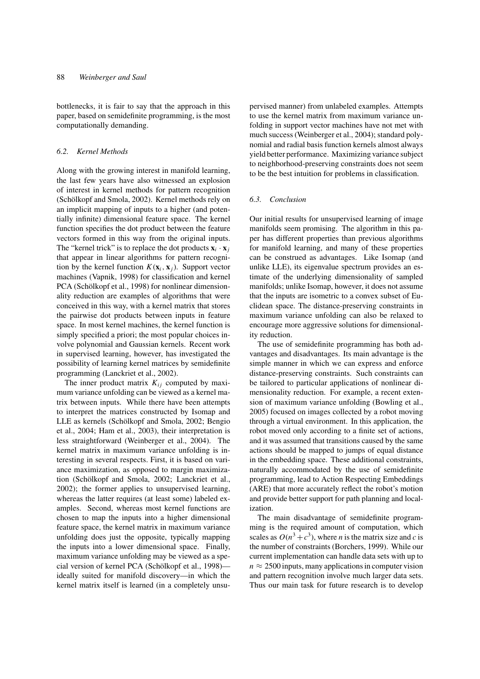bottlenecks, it is fair to say that the approach in this paper, based on semidefinite programming, is the most computationally demanding.

# *6.2. Kernel Methods*

Along with the growing interest in manifold learning, the last few years have also witnessed an explosion of interest in kernel methods for pattern recognition (Schölkopf and Smola, 2002). Kernel methods rely on an implicit mapping of inputs to a higher (and potentially infinite) dimensional feature space. The kernel function specifies the dot product between the feature vectors formed in this way from the original inputs. The "kernel trick" is to replace the dot products  $\mathbf{x}_i \cdot \mathbf{x}_j$ that appear in linear algorithms for pattern recognition by the kernel function  $K(\mathbf{x}_i, \mathbf{x}_j)$ . Support vector machines (Vapnik, 1998) for classification and kernel PCA (Schölkopf et al., 1998) for nonlinear dimensionality reduction are examples of algorithms that were conceived in this way, with a kernel matrix that stores the pairwise dot products between inputs in feature space. In most kernel machines, the kernel function is simply specified a priori; the most popular choices involve polynomial and Gaussian kernels. Recent work in supervised learning, however, has investigated the possibility of learning kernel matrices by semidefinite programming (Lanckriet et al., 2002).

The inner product matrix  $K_{ij}$  computed by maximum variance unfolding can be viewed as a kernel matrix between inputs. While there have been attempts to interpret the matrices constructed by Isomap and LLE as kernels (Schölkopf and Smola, 2002; Bengio et al., 2004; Ham et al., 2003), their interpretation is less straightforward (Weinberger et al., 2004). The kernel matrix in maximum variance unfolding is interesting in several respects. First, it is based on variance maximization, as opposed to margin maximization (Schölkopf and Smola, 2002; Lanckriet et al., 2002); the former applies to unsupervised learning, whereas the latter requires (at least some) labeled examples. Second, whereas most kernel functions are chosen to map the inputs into a higher dimensional feature space, the kernel matrix in maximum variance unfolding does just the opposite, typically mapping the inputs into a lower dimensional space. Finally, maximum variance unfolding may be viewed as a special version of kernel PCA (Schölkopf et al., 1998) ideally suited for manifold discovery—in which the kernel matrix itself is learned (in a completely unsupervised manner) from unlabeled examples. Attempts to use the kernel matrix from maximum variance unfolding in support vector machines have not met with much success (Weinberger et al., 2004); standard polynomial and radial basis function kernels almost always yield better performance. Maximizing variance subject to neighborhood-preserving constraints does not seem to be the best intuition for problems in classification.

# *6.3. Conclusion*

Our initial results for unsupervised learning of image manifolds seem promising. The algorithm in this paper has different properties than previous algorithms for manifold learning, and many of these properties can be construed as advantages. Like Isomap (and unlike LLE), its eigenvalue spectrum provides an estimate of the underlying dimensionality of sampled manifolds; unlike Isomap, however, it does not assume that the inputs are isometric to a convex subset of Euclidean space. The distance-preserving constraints in maximum variance unfolding can also be relaxed to encourage more aggressive solutions for dimensionality reduction.

The use of semidefinite programming has both advantages and disadvantages. Its main advantage is the simple manner in which we can express and enforce distance-preserving constraints. Such constraints can be tailored to particular applications of nonlinear dimensionality reduction. For example, a recent extension of maximum variance unfolding (Bowling et al., 2005) focused on images collected by a robot moving through a virtual environment. In this application, the robot moved only according to a finite set of actions, and it was assumed that transitions caused by the same actions should be mapped to jumps of equal distance in the embedding space. These additional constraints, naturally accommodated by the use of semidefinite programming, lead to Action Respecting Embeddings (ARE) that more accurately reflect the robot's motion and provide better support for path planning and localization.

The main disadvantage of semidefinite programming is the required amount of computation, which scales as  $O(n^3 + c^3)$ , where *n* is the matrix size and *c* is the number of constraints (Borchers, 1999). While our current implementation can handle data sets with up to  $n \approx 2500$  inputs, many applications in computer vision and pattern recognition involve much larger data sets. Thus our main task for future research is to develop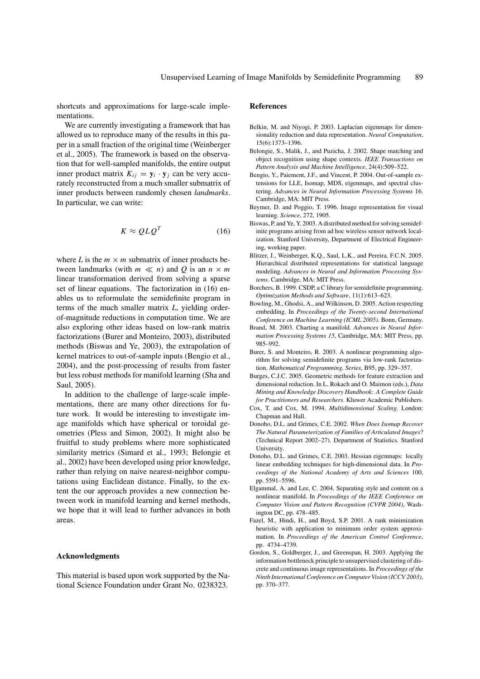shortcuts and approximations for large-scale implementations.

We are currently investigating a framework that has allowed us to reproduce many of the results in this paper in a small fraction of the original time (Weinberger et al., 2005). The framework is based on the observation that for well-sampled manifolds, the entire output inner product matrix  $K_{ii} = y_i \cdot y_i$  can be very accurately reconstructed from a much smaller submatrix of inner products between randomly chosen *landmarks*. In particular, we can write:

$$
K \approx Q L Q^T \tag{16}
$$

where *L* is the  $m \times m$  submatrix of inner products between landmarks (with  $m \ll n$ ) and Q is an  $n \times m$ linear transformation derived from solving a sparse set of linear equations. The factorization in (16) enables us to reformulate the semidefinite program in terms of the much smaller matrix *L*, yielding orderof-magnitude reductions in computation time. We are also exploring other ideas based on low-rank matrix factorizations (Burer and Monteiro, 2003), distributed methods (Biswas and Ye, 2003), the extrapolation of kernel matrices to out-of-sample inputs (Bengio et al., 2004), and the post-processing of results from faster but less robust methods for manifold learning (Sha and Saul, 2005).

In addition to the challenge of large-scale implementations, there are many other directions for future work. It would be interesting to investigate image manifolds which have spherical or toroidal geometries (Pless and Simon, 2002). It might also be fruitful to study problems where more sophisticated similarity metrics (Simard et al., 1993; Belongie et al., 2002) have been developed using prior knowledge, rather than relying on naive nearest-neighbor computations using Euclidean distance. Finally, to the extent the our approach provides a new connection between work in manifold learning and kernel methods, we hope that it will lead to further advances in both areas.

#### **Acknowledgments**

This material is based upon work supported by the National Science Foundation under Grant No. 0238323.

#### **References**

- Belkin, M. and Niyogi, P. 2003. Laplacian eigenmaps for dimensionality reduction and data representation. *Neural Computation*, 15(6):1373–1396.
- Belongie, S., Malik, J., and Puzicha, J. 2002. Shape matching and object recognition using shape contexts. *IEEE Transactions on Pattern Analysis and Machine Intelligence*, 24(4):509–522.
- Bengio, Y., Paiement, J.F., and Vincent, P. 2004. Out-of-sample extensions for LLE, Isomap, MDS, eigenmaps, and spectral clustering. *Advances in Neural Information Processing Systems* 16. Cambridge, MA: MIT Press.
- Beymer, D. and Poggio, T. 1996. Image representation for visual learning. *Science*, 272, 1905.
- Biswas, P. and Ye, Y. 2003. A distributed method for solving semidefinite programs arising from ad hoc wireless sensor network localization. Stanford University, Department of Electrical Engineering, working paper.
- Blitzer, J., Weinberger, K.Q., Saul, L.K., and Pereira, F.C.N. 2005. Hierarchical distributed representations for statistical language modeling. *Advances in Neural and Information Processing Systems*. Cambridge, MA: MIT Press.
- Borchers, B. 1999. CSDP, a C library for semidefinite programming. *Optimization Methods and Software*, 11(1):613–623.
- Bowling, M., Ghodsi, A., and Wilkinson, D. 2005. Action respecting embedding. In *Proceedings of the Twenty-second International Conference on Machine Learning (ICML 2005)*. Bonn, Germany.
- Brand, M. 2003. Charting a manifold. *Advances in Neural Information Processing Systems 15*, Cambridge, MA: MIT Press, pp. 985–992.
- Burer, S. and Monteiro, R. 2003. A nonlinear programming algorithm for solving semidefinite programs via low-rank factorization. *Mathematical Programming, Series*, B95, pp. 329–357.
- Burges, C.J.C. 2005. Geometric methods for feature extraction and dimensional reduction. In L. Rokach and O. Maimon (eds.), *Data Mining and Knowledge Discovery Handbook: A Complete Guide for Practitioners and Researchers*. Kluwer Academic Publishers.
- Cox, T. and Cox, M. 1994. *Multidimensional Scaling*. London: Chapman and Hall.
- Donoho, D.L. and Grimes, C.E. 2002. *When Does Isomap Recover The Natural Parameterization of Families of Articulated Images*? (Technical Report 2002–27). Department of Statistics. Stanford University.
- Donoho, D.L. and Grimes, C.E. 2003. Hessian eigenmaps: locally linear embedding techniques for high-dimensional data. In *Proceedings of the National Academy of Arts and Sciences* 100, pp. 5591–5596.
- Elgammal, A. and Lee, C. 2004. Separating style and content on a nonlinear manifold. In *Proceedings of the IEEE Conference on Computer Vision and Pattern Recognition (CVPR 2004)*, Washington DC, pp. 478–485.
- Fazel, M., Hindi, H., and Boyd, S.P. 2001. A rank minimization heuristic with application to minimum order system approximation. In *Proceedings of the American Control Conference*, pp. 4734–4739.
- Gordon, S., Goldberger, J., and Greenspan, H. 2003. Applying the information bottleneck principle to unsupervised clustering of discrete and continuous image representations. In *Proceedings of the Ninth International Conference on Computer Vision (ICCV 2003)*, pp. 370–377.